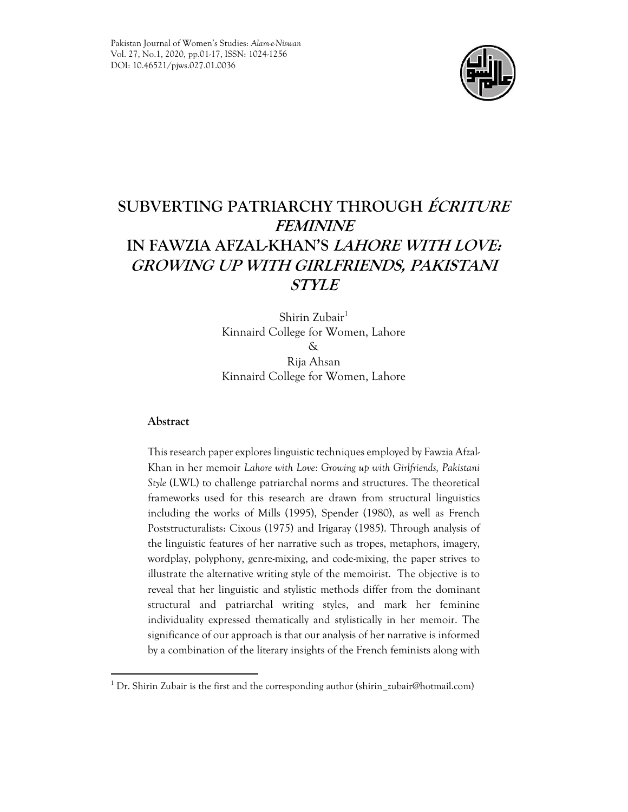

# **SUBVERTING PATRIARCHY THROUGH ÉCRITURE FEMININE IN FAWZIA AFZAL-KHAN'S LAHORE WITH LOVE: GROWING UP WITH GIRLFRIENDS, PAKISTANI STYLE**

Shirin Zubair $1$ Kinnaird College for Women, Lahore & Rija Ahsan Kinnaird College for Women, Lahore

# **Abstract**

This research paper explores linguistic techniques employed by Fawzia Afzal-Khan in her memoir *Lahore with Love: Growing up with Girlfriends, Pakistani Style* (LWL) to challenge patriarchal norms and structures. The theoretical frameworks used for this research are drawn from structural linguistics including the works of Mills (1995), Spender (1980), as well as French Poststructuralists: Cixous (1975) and Irigaray (1985). Through analysis of the linguistic features of her narrative such as tropes, metaphors, imagery, wordplay, polyphony, genre-mixing, and code-mixing, the paper strives to illustrate the alternative writing style of the memoirist. The objective is to reveal that her linguistic and stylistic methods differ from the dominant structural and patriarchal writing styles, and mark her feminine individuality expressed thematically and stylistically in her memoir. The significance of our approach is that our analysis of her narrative is informed by a combination of the literary insights of the French feminists along with

<sup>&</sup>lt;sup>1</sup> Dr. Shirin Zubair is the first and the corresponding author (shirin\_zubair@hotmail.com)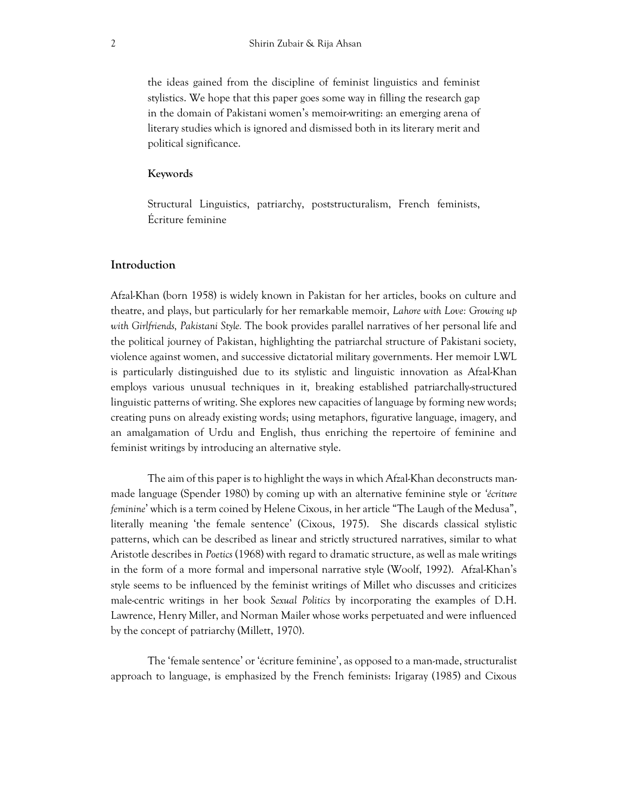the ideas gained from the discipline of feminist linguistics and feminist stylistics. We hope that this paper goes some way in filling the research gap in the domain of Pakistani women's memoir-writing: an emerging arena of literary studies which is ignored and dismissed both in its literary merit and political significance.

## **Keywords**

Structural Linguistics, patriarchy, poststructuralism, French feminists, Écriture feminine

## **Introduction**

Afzal-Khan (born 1958) is widely known in Pakistan for her articles, books on culture and theatre, and plays, but particularly for her remarkable memoir, *Lahore with Love: Growing up with Girlfriends, Pakistani Style.* The book provides parallel narratives of her personal life and the political journey of Pakistan, highlighting the patriarchal structure of Pakistani society, violence against women, and successive dictatorial military governments. Her memoir LWL is particularly distinguished due to its stylistic and linguistic innovation as Afzal-Khan employs various unusual techniques in it, breaking established patriarchally-structured linguistic patterns of writing. She explores new capacities of language by forming new words; creating puns on already existing words; using metaphors, figurative language, imagery, and an amalgamation of Urdu and English, thus enriching the repertoire of feminine and feminist writings by introducing an alternative style.

The aim of this paper is to highlight the ways in which Afzal-Khan deconstructs manmade language (Spender 1980) by coming up with an alternative feminine style or *'écriture feminine*' which is a term coined by Helene Cixous, in her article "The Laugh of the Medusa", literally meaning 'the female sentence' (Cixous, 1975). She discards classical stylistic patterns, which can be described as linear and strictly structured narratives, similar to what Aristotle describes in *Poetics* (1968) with regard to dramatic structure, as well as male writings in the form of a more formal and impersonal narrative style (Woolf, 1992). Afzal-Khan's style seems to be influenced by the feminist writings of Millet who discusses and criticizes male-centric writings in her book *Sexual Politics* by incorporating the examples of D.H. Lawrence, Henry Miller, and Norman Mailer whose works perpetuated and were influenced by the concept of patriarchy (Millett, 1970).

The 'female sentence' or 'écriture feminine', as opposed to a man-made, structuralist approach to language, is emphasized by the French feminists: Irigaray (1985) and Cixous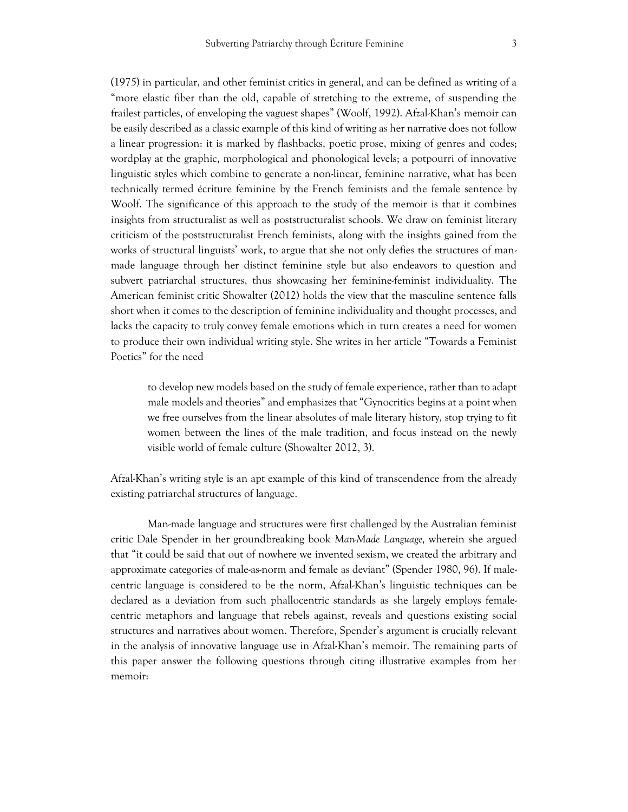(1975) in particular, and other feminist critics in general, and can be defined as writing of a "more elastic fiber than the old, capable of stretching to the extreme, of suspending the frailest particles, of enveloping the vaguest shapes" (Woolf, 1992). Afzal-Khan's memoir can be easily described as a classic example of this kind of writing as her narrative does not follow a linear progression: it is marked by flashbacks, poetic prose, mixing of genres and codes; wordplay at the graphic, morphological and phonological levels; a potpourri of innovative linguistic styles which combine to generate a non-linear, feminine narrative, what has been technically termed écriture feminine by the French feminists and the female sentence by Woolf. The significance of this approach to the study of the memoir is that it combines insights from structuralist as well as poststructuralist schools. We draw on feminist literary criticism of the poststructuralist French feminists, along with the insights gained from the works of structural linguists' work, to argue that she not only defies the structures of manmade language through her distinct feminine style but also endeavors to question and subvert patriarchal structures, thus showcasing her feminine-feminist individuality. The American feminist critic Showalter (2012) holds the view that the masculine sentence falls short when it comes to the description of feminine individuality and thought processes, and lacks the capacity to truly convey female emotions which in turn creates a need for women to produce their own individual writing style. She writes in her article "Towards a Feminist Poetics" for the need

to develop new models based on the study of female experience, rather than to adapt male models and theories" and emphasizes that "Gynocritics begins at a point when we free ourselves from the linear absolutes of male literary history, stop trying to fit women between the lines of the male tradition, and focus instead on the newly visible world of female culture (Showalter 2012, 3).

Afzal-Khan's writing style is an apt example of this kind of transcendence from the already existing patriarchal structures of language.

Man-made language and structures were first challenged by the Australian feminist critic Dale Spender in her groundbreaking book *Man-Made Language,* wherein she argued that "it could be said that out of nowhere we invented sexism, we created the arbitrary and approximate categories of male-as-norm and female as deviant" (Spender 1980, 96). If malecentric language is considered to be the norm, Afzal-Khan's linguistic techniques can be declared as a deviation from such phallocentric standards as she largely employs femalecentric metaphors and language that rebels against, reveals and questions existing social structures and narratives about women. Therefore, Spender's argument is crucially relevant in the analysis of innovative language use in Afzal-Khan's memoir. The remaining parts of this paper answer the following questions through citing illustrative examples from her memoir: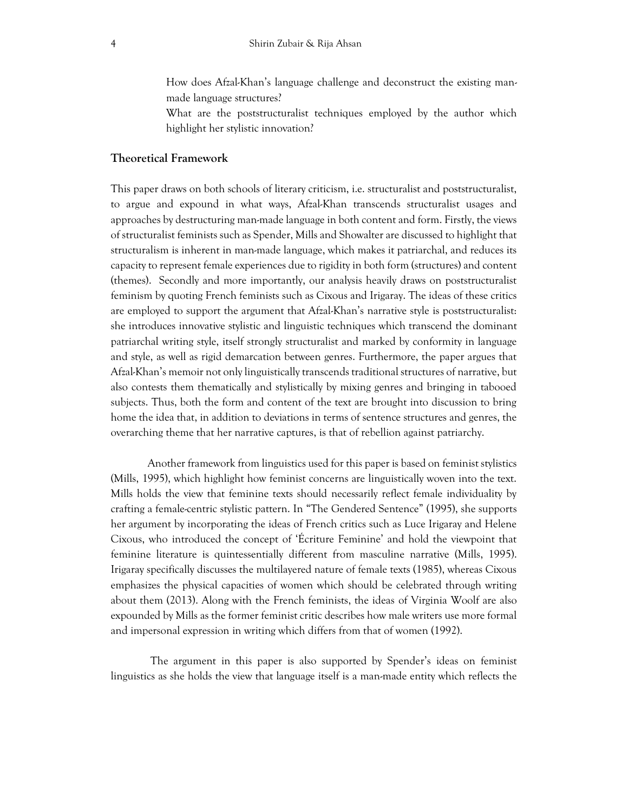How does Afzal-Khan's language challenge and deconstruct the existing manmade language structures?

What are the poststructuralist techniques employed by the author which highlight her stylistic innovation?

## **Theoretical Framework**

This paper draws on both schools of literary criticism, i.e. structuralist and poststructuralist, to argue and expound in what ways, Afzal-Khan transcends structuralist usages and approaches by destructuring man-made language in both content and form. Firstly, the views of structuralist feminists such as Spender, Mills and Showalter are discussed to highlight that structuralism is inherent in man-made language, which makes it patriarchal, and reduces its capacity to represent female experiences due to rigidity in both form (structures) and content (themes). Secondly and more importantly, our analysis heavily draws on poststructuralist feminism by quoting French feminists such as Cixous and Irigaray. The ideas of these critics are employed to support the argument that Afzal-Khan's narrative style is poststructuralist: she introduces innovative stylistic and linguistic techniques which transcend the dominant patriarchal writing style, itself strongly structuralist and marked by conformity in language and style, as well as rigid demarcation between genres. Furthermore, the paper argues that Afzal-Khan's memoir not only linguistically transcends traditional structures of narrative, but also contests them thematically and stylistically by mixing genres and bringing in tabooed subjects. Thus, both the form and content of the text are brought into discussion to bring home the idea that, in addition to deviations in terms of sentence structures and genres, the overarching theme that her narrative captures, is that of rebellion against patriarchy.

Another framework from linguistics used for this paper is based on feminist stylistics (Mills, 1995), which highlight how feminist concerns are linguistically woven into the text. Mills holds the view that feminine texts should necessarily reflect female individuality by crafting a female-centric stylistic pattern. In "The Gendered Sentence" (1995), she supports her argument by incorporating the ideas of French critics such as Luce Irigaray and Helene Cixous, who introduced the concept of 'Écriture Feminine' and hold the viewpoint that feminine literature is quintessentially different from masculine narrative (Mills, 1995). Irigaray specifically discusses the multilayered nature of female texts (1985), whereas Cixous emphasizes the physical capacities of women which should be celebrated through writing about them (2013). Along with the French feminists, the ideas of Virginia Woolf are also expounded by Mills as the former feminist critic describes how male writers use more formal and impersonal expression in writing which differs from that of women (1992).

The argument in this paper is also supported by Spender's ideas on feminist linguistics as she holds the view that language itself is a man-made entity which reflects the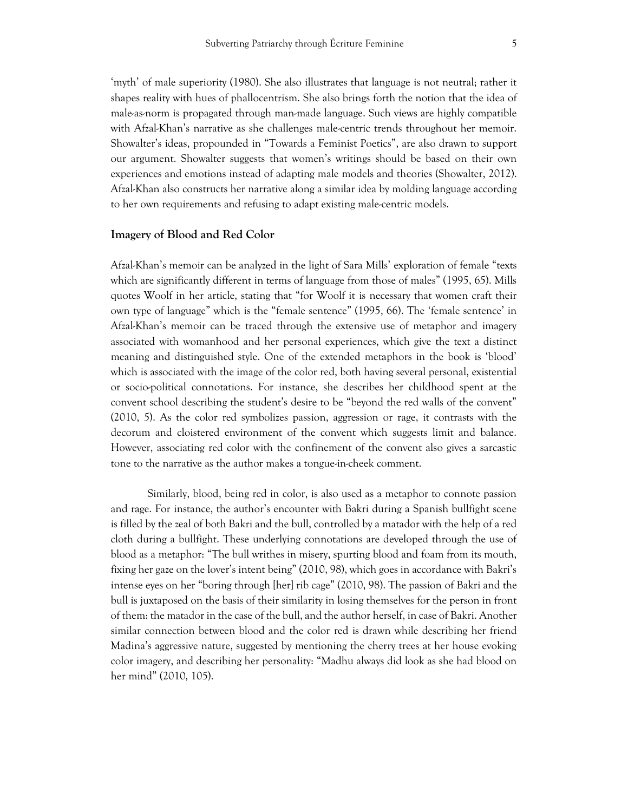'myth' of male superiority (1980). She also illustrates that language is not neutral; rather it shapes reality with hues of phallocentrism. She also brings forth the notion that the idea of male-as-norm is propagated through man-made language. Such views are highly compatible with Afzal-Khan's narrative as she challenges male-centric trends throughout her memoir. Showalter's ideas, propounded in "Towards a Feminist Poetics", are also drawn to support our argument. Showalter suggests that women's writings should be based on their own experiences and emotions instead of adapting male models and theories (Showalter, 2012). Afzal-Khan also constructs her narrative along a similar idea by molding language according to her own requirements and refusing to adapt existing male-centric models.

## **Imagery of Blood and Red Color**

Afzal-Khan's memoir can be analyzed in the light of Sara Mills' exploration of female "texts which are significantly different in terms of language from those of males" (1995, 65). Mills quotes Woolf in her article, stating that "for Woolf it is necessary that women craft their own type of language" which is the "female sentence" (1995, 66). The 'female sentence' in Afzal-Khan's memoir can be traced through the extensive use of metaphor and imagery associated with womanhood and her personal experiences, which give the text a distinct meaning and distinguished style. One of the extended metaphors in the book is 'blood' which is associated with the image of the color red, both having several personal, existential or socio-political connotations. For instance, she describes her childhood spent at the convent school describing the student's desire to be "beyond the red walls of the convent" (2010, 5). As the color red symbolizes passion, aggression or rage, it contrasts with the decorum and cloistered environment of the convent which suggests limit and balance. However, associating red color with the confinement of the convent also gives a sarcastic tone to the narrative as the author makes a tongue-in-cheek comment.

Similarly, blood, being red in color, is also used as a metaphor to connote passion and rage. For instance, the author's encounter with Bakri during a Spanish bullfight scene is filled by the zeal of both Bakri and the bull, controlled by a matador with the help of a red cloth during a bullfight. These underlying connotations are developed through the use of blood as a metaphor: "The bull writhes in misery, spurting blood and foam from its mouth, fixing her gaze on the lover's intent being" (2010, 98), which goes in accordance with Bakri's intense eyes on her "boring through [her] rib cage" (2010, 98). The passion of Bakri and the bull is juxtaposed on the basis of their similarity in losing themselves for the person in front of them: the matador in the case of the bull, and the author herself, in case of Bakri. Another similar connection between blood and the color red is drawn while describing her friend Madina's aggressive nature, suggested by mentioning the cherry trees at her house evoking color imagery, and describing her personality: "Madhu always did look as she had blood on her mind" (2010, 105).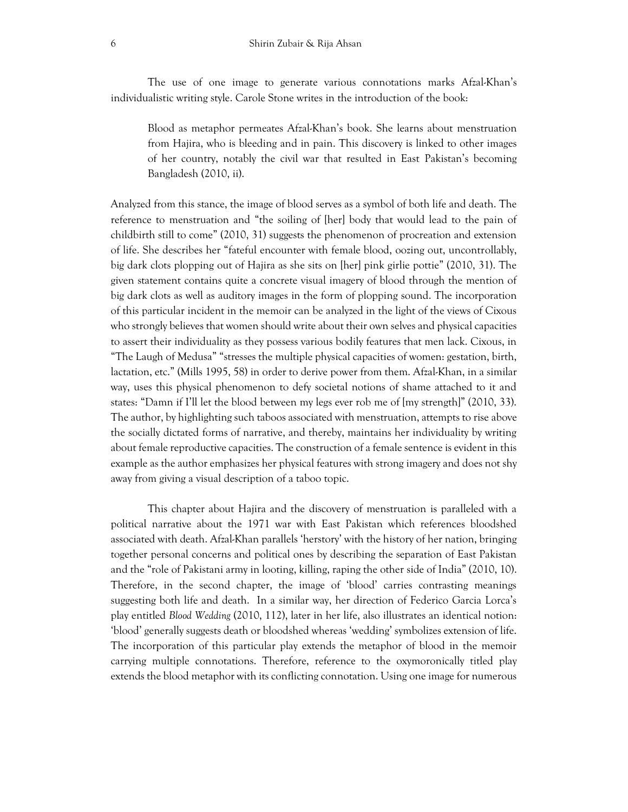The use of one image to generate various connotations marks Afzal-Khan's individualistic writing style. Carole Stone writes in the introduction of the book:

Blood as metaphor permeates Afzal-Khan's book. She learns about menstruation from Hajira, who is bleeding and in pain. This discovery is linked to other images of her country, notably the civil war that resulted in East Pakistan's becoming Bangladesh (2010, ii).

Analyzed from this stance, the image of blood serves as a symbol of both life and death. The reference to menstruation and "the soiling of [her] body that would lead to the pain of childbirth still to come" (2010, 31) suggests the phenomenon of procreation and extension of life. She describes her "fateful encounter with female blood, oozing out, uncontrollably, big dark clots plopping out of Hajira as she sits on [her] pink girlie pottie" (2010, 31). The given statement contains quite a concrete visual imagery of blood through the mention of big dark clots as well as auditory images in the form of plopping sound. The incorporation of this particular incident in the memoir can be analyzed in the light of the views of Cixous who strongly believes that women should write about their own selves and physical capacities to assert their individuality as they possess various bodily features that men lack. Cixous, in "The Laugh of Medusa" "stresses the multiple physical capacities of women: gestation, birth, lactation, etc." (Mills 1995, 58) in order to derive power from them. Afzal-Khan, in a similar way, uses this physical phenomenon to defy societal notions of shame attached to it and states: "Damn if I'll let the blood between my legs ever rob me of [my strength]" (2010, 33). The author, by highlighting such taboos associated with menstruation, attempts to rise above the socially dictated forms of narrative, and thereby, maintains her individuality by writing about female reproductive capacities. The construction of a female sentence is evident in this example as the author emphasizes her physical features with strong imagery and does not shy away from giving a visual description of a taboo topic.

This chapter about Hajira and the discovery of menstruation is paralleled with a political narrative about the 1971 war with East Pakistan which references bloodshed associated with death. Afzal-Khan parallels 'herstory' with the history of her nation, bringing together personal concerns and political ones by describing the separation of East Pakistan and the "role of Pakistani army in looting, killing, raping the other side of India" (2010, 10). Therefore, in the second chapter, the image of 'blood' carries contrasting meanings suggesting both life and death. In a similar way, her direction of Federico Garcia Lorca's play entitled *Blood Wedding* (2010, 112), later in her life, also illustrates an identical notion: 'blood' generally suggests death or bloodshed whereas 'wedding' symbolizes extension of life. The incorporation of this particular play extends the metaphor of blood in the memoir carrying multiple connotations. Therefore, reference to the oxymoronically titled play extends the blood metaphor with its conflicting connotation. Using one image for numerous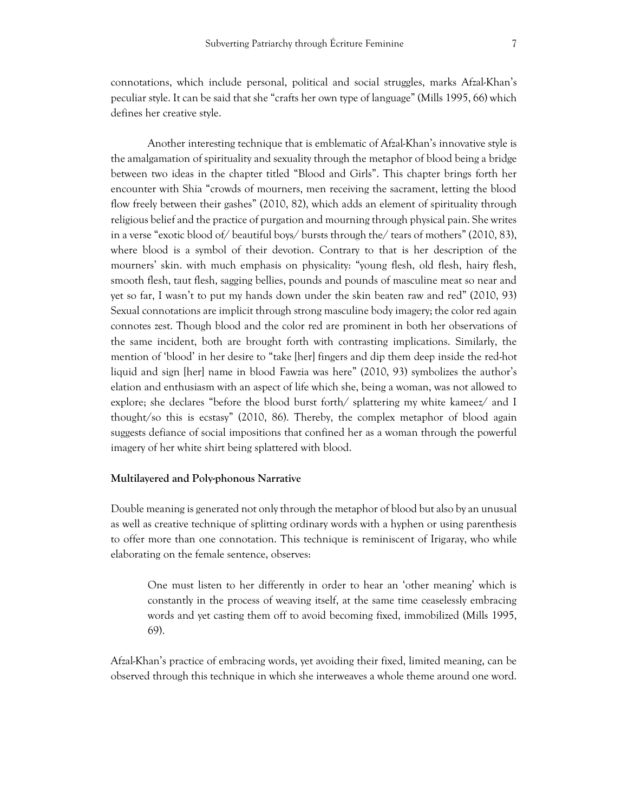connotations, which include personal, political and social struggles, marks Afzal-Khan's peculiar style. It can be said that she "crafts her own type of language" (Mills 1995, 66) which defines her creative style.

Another interesting technique that is emblematic of Afzal-Khan's innovative style is the amalgamation of spirituality and sexuality through the metaphor of blood being a bridge between two ideas in the chapter titled "Blood and Girls". This chapter brings forth her encounter with Shia "crowds of mourners, men receiving the sacrament, letting the blood flow freely between their gashes" (2010, 82), which adds an element of spirituality through religious belief and the practice of purgation and mourning through physical pain. She writes in a verse "exotic blood of/ beautiful boys/ bursts through the/ tears of mothers" (2010, 83), where blood is a symbol of their devotion. Contrary to that is her description of the mourners' skin. with much emphasis on physicality: "young flesh, old flesh, hairy flesh, smooth flesh, taut flesh, sagging bellies, pounds and pounds of masculine meat so near and yet so far, I wasn't to put my hands down under the skin beaten raw and red" (2010, 93) Sexual connotations are implicit through strong masculine body imagery; the color red again connotes zest. Though blood and the color red are prominent in both her observations of the same incident, both are brought forth with contrasting implications. Similarly, the mention of 'blood' in her desire to "take [her] fingers and dip them deep inside the red-hot liquid and sign [her] name in blood Fawzia was here" (2010, 93) symbolizes the author's elation and enthusiasm with an aspect of life which she, being a woman, was not allowed to explore; she declares "before the blood burst forth/ splattering my white kameez/ and I thought/so this is ecstasy" (2010, 86). Thereby, the complex metaphor of blood again suggests defiance of social impositions that confined her as a woman through the powerful imagery of her white shirt being splattered with blood.

#### **Multilayered and Poly-phonous Narrative**

Double meaning is generated not only through the metaphor of blood but also by an unusual as well as creative technique of splitting ordinary words with a hyphen or using parenthesis to offer more than one connotation. This technique is reminiscent of Irigaray, who while elaborating on the female sentence, observes:

One must listen to her differently in order to hear an 'other meaning' which is constantly in the process of weaving itself, at the same time ceaselessly embracing words and yet casting them off to avoid becoming fixed, immobilized (Mills 1995, 69).

Afzal-Khan's practice of embracing words, yet avoiding their fixed, limited meaning, can be observed through this technique in which she interweaves a whole theme around one word.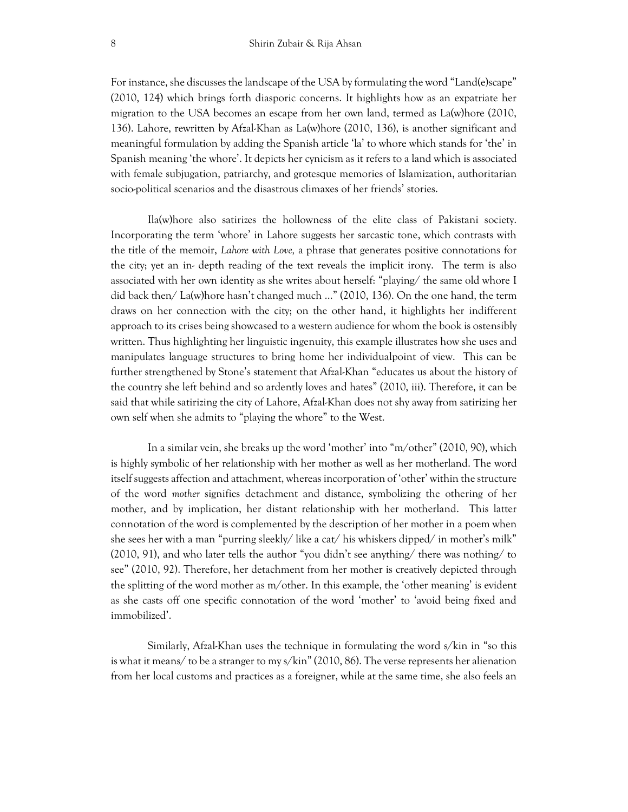For instance, she discusses the landscape of the USA by formulating the word "Land(e)scape" (2010, 124) which brings forth diasporic concerns. It highlights how as an expatriate her migration to the USA becomes an escape from her own land, termed as La(w)hore (2010, 136). Lahore, rewritten by Afzal-Khan as La(w)hore (2010, 136), is another significant and meaningful formulation by adding the Spanish article 'la' to whore which stands for 'the' in Spanish meaning 'the whore'. It depicts her cynicism as it refers to a land which is associated with female subjugation, patriarchy, and grotesque memories of Islamization, authoritarian socio-political scenarios and the disastrous climaxes of her friends' stories.

Ila(w)hore also satirizes the hollowness of the elite class of Pakistani society. Incorporating the term 'whore' in Lahore suggests her sarcastic tone, which contrasts with the title of the memoir, *Lahore with Love,* a phrase that generates positive connotations for the city; yet an in- depth reading of the text reveals the implicit irony. The term is also associated with her own identity as she writes about herself: "playing/ the same old whore I did back then/ La(w)hore hasn't changed much …" (2010, 136). On the one hand, the term draws on her connection with the city; on the other hand, it highlights her indifferent approach to its crises being showcased to a western audience for whom the book is ostensibly written. Thus highlighting her linguistic ingenuity, this example illustrates how she uses and manipulates language structures to bring home her individualpoint of view. This can be further strengthened by Stone's statement that Afzal-Khan "educates us about the history of the country she left behind and so ardently loves and hates" (2010, iii). Therefore, it can be said that while satirizing the city of Lahore, Afzal-Khan does not shy away from satirizing her own self when she admits to "playing the whore" to the West.

In a similar vein, she breaks up the word 'mother' into "m/other" (2010, 90), which is highly symbolic of her relationship with her mother as well as her motherland. The word itself suggests affection and attachment, whereas incorporation of 'other' within the structure of the word *mother* signifies detachment and distance, symbolizing the othering of her mother, and by implication, her distant relationship with her motherland. This latter connotation of the word is complemented by the description of her mother in a poem when she sees her with a man "purring sleekly/ like a cat/ his whiskers dipped/ in mother's milk" (2010, 91), and who later tells the author "you didn't see anything/ there was nothing/ to see" (2010, 92). Therefore, her detachment from her mother is creatively depicted through the splitting of the word mother as m/other. In this example, the 'other meaning' is evident as she casts off one specific connotation of the word 'mother' to 'avoid being fixed and immobilized'.

Similarly, Afzal-Khan uses the technique in formulating the word s/kin in "so this is what it means/ to be a stranger to my s/kin" (2010, 86). The verse represents her alienation from her local customs and practices as a foreigner, while at the same time, she also feels an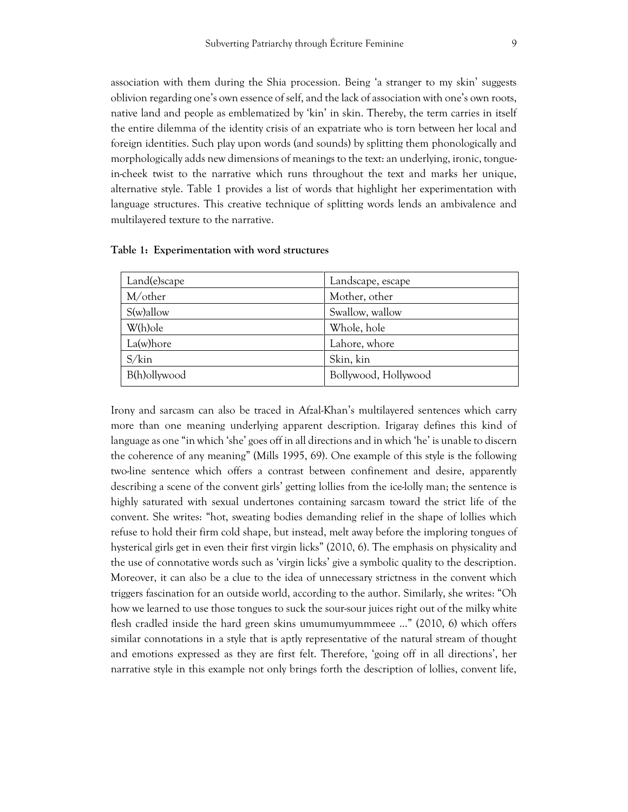association with them during the Shia procession. Being 'a stranger to my skin' suggests oblivion regarding one's own essence of self, and the lack of association with one's own roots, native land and people as emblematized by 'kin' in skin. Thereby, the term carries in itself the entire dilemma of the identity crisis of an expatriate who is torn between her local and foreign identities. Such play upon words (and sounds) by splitting them phonologically and morphologically adds new dimensions of meanings to the text: an underlying, ironic, tonguein-cheek twist to the narrative which runs throughout the text and marks her unique, alternative style. Table 1 provides a list of words that highlight her experimentation with language structures. This creative technique of splitting words lends an ambivalence and multilayered texture to the narrative.

| Land(e)scape   | Landscape, escape    |
|----------------|----------------------|
| M/other        | Mother, other        |
| $S(w)$ allow   | Swallow, wallow      |
| W(h)ole        | Whole, hole          |
| La(w)hore      | Lahore, whore        |
| $S/\text{kin}$ | Skin, kin            |
| B(h)ollywood   | Bollywood, Hollywood |

**Table 1: Experimentation with word structures**

Irony and sarcasm can also be traced in Afzal-Khan's multilayered sentences which carry more than one meaning underlying apparent description. Irigaray defines this kind of language as one "in which 'she' goes off in all directions and in which 'he' is unable to discern the coherence of any meaning" (Mills 1995, 69). One example of this style is the following two-line sentence which offers a contrast between confinement and desire, apparently describing a scene of the convent girls' getting lollies from the ice-lolly man; the sentence is highly saturated with sexual undertones containing sarcasm toward the strict life of the convent. She writes: "hot, sweating bodies demanding relief in the shape of lollies which refuse to hold their firm cold shape, but instead, melt away before the imploring tongues of hysterical girls get in even their first virgin licks" (2010, 6). The emphasis on physicality and the use of connotative words such as 'virgin licks' give a symbolic quality to the description. Moreover, it can also be a clue to the idea of unnecessary strictness in the convent which triggers fascination for an outside world, according to the author. Similarly, she writes: "Oh how we learned to use those tongues to suck the sour-sour juices right out of the milky white flesh cradled inside the hard green skins umumumyummmeee …" (2010, 6) which offers similar connotations in a style that is aptly representative of the natural stream of thought and emotions expressed as they are first felt. Therefore, 'going off in all directions', her narrative style in this example not only brings forth the description of lollies, convent life,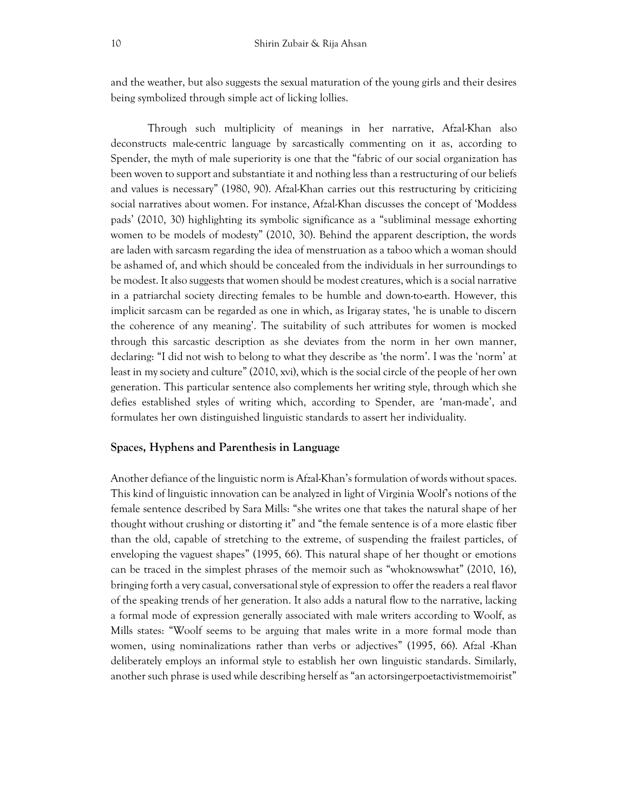and the weather, but also suggests the sexual maturation of the young girls and their desires being symbolized through simple act of licking lollies.

Through such multiplicity of meanings in her narrative, Afzal-Khan also deconstructs male-centric language by sarcastically commenting on it as, according to Spender, the myth of male superiority is one that the "fabric of our social organization has been woven to support and substantiate it and nothing less than a restructuring of our beliefs and values is necessary" (1980, 90). Afzal-Khan carries out this restructuring by criticizing social narratives about women. For instance, Afzal-Khan discusses the concept of 'Moddess pads' (2010, 30) highlighting its symbolic significance as a "subliminal message exhorting women to be models of modesty" (2010, 30). Behind the apparent description, the words are laden with sarcasm regarding the idea of menstruation as a taboo which a woman should be ashamed of, and which should be concealed from the individuals in her surroundings to be modest. It also suggests that women should be modest creatures, which is a social narrative in a patriarchal society directing females to be humble and down-to-earth. However, this implicit sarcasm can be regarded as one in which, as Irigaray states, 'he is unable to discern the coherence of any meaning'. The suitability of such attributes for women is mocked through this sarcastic description as she deviates from the norm in her own manner, declaring: "I did not wish to belong to what they describe as 'the norm'. I was the 'norm' at least in my society and culture" (2010, xvi), which is the social circle of the people of her own generation. This particular sentence also complements her writing style, through which she defies established styles of writing which, according to Spender, are 'man-made', and formulates her own distinguished linguistic standards to assert her individuality.

## **Spaces, Hyphens and Parenthesis in Language**

Another defiance of the linguistic norm is Afzal-Khan's formulation of words without spaces. This kind of linguistic innovation can be analyzed in light of Virginia Woolf's notions of the female sentence described by Sara Mills: "she writes one that takes the natural shape of her thought without crushing or distorting it" and "the female sentence is of a more elastic fiber than the old, capable of stretching to the extreme, of suspending the frailest particles, of enveloping the vaguest shapes" (1995, 66). This natural shape of her thought or emotions can be traced in the simplest phrases of the memoir such as "whoknowswhat" (2010, 16), bringing forth a very casual, conversational style of expression to offer the readers a real flavor of the speaking trends of her generation. It also adds a natural flow to the narrative, lacking a formal mode of expression generally associated with male writers according to Woolf, as Mills states: "Woolf seems to be arguing that males write in a more formal mode than women, using nominalizations rather than verbs or adjectives" (1995, 66). Afzal -Khan deliberately employs an informal style to establish her own linguistic standards. Similarly, another such phrase is used while describing herself as "an actorsingerpoetactivistmemoirist"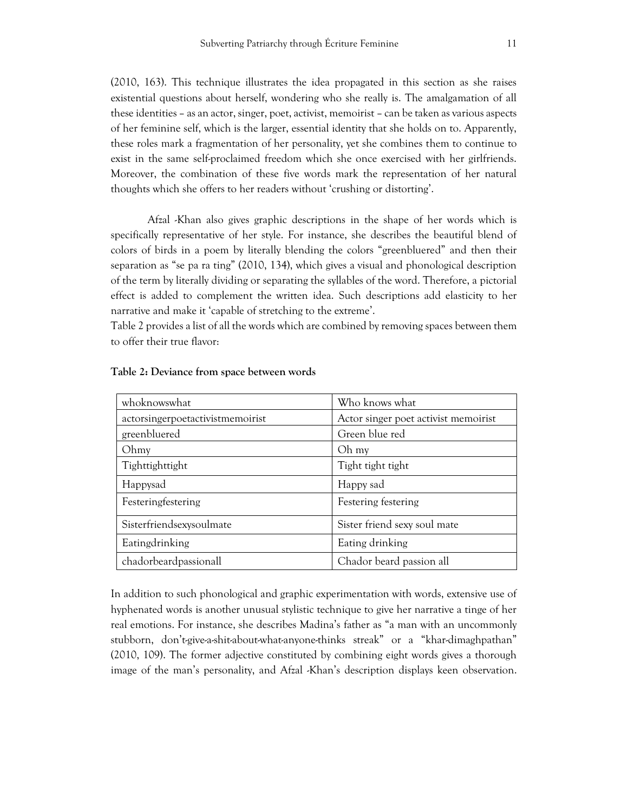(2010, 163). This technique illustrates the idea propagated in this section as she raises existential questions about herself, wondering who she really is. The amalgamation of all these identities – as an actor, singer, poet, activist, memoirist – can be taken as various aspects of her feminine self, which is the larger, essential identity that she holds on to. Apparently, these roles mark a fragmentation of her personality, yet she combines them to continue to exist in the same self-proclaimed freedom which she once exercised with her girlfriends. Moreover, the combination of these five words mark the representation of her natural thoughts which she offers to her readers without 'crushing or distorting'.

Afzal -Khan also gives graphic descriptions in the shape of her words which is specifically representative of her style. For instance, she describes the beautiful blend of colors of birds in a poem by literally blending the colors "greenbluered" and then their separation as "se pa ra ting" (2010, 134), which gives a visual and phonological description of the term by literally dividing or separating the syllables of the word. Therefore, a pictorial effect is added to complement the written idea. Such descriptions add elasticity to her narrative and make it 'capable of stretching to the extreme'.

Table 2 provides a list of all the words which are combined by removing spaces between them to offer their true flavor:

| whoknowswhat                     | Who knows what                       |
|----------------------------------|--------------------------------------|
| actorsingerpoetactivistmemoirist | Actor singer poet activist memoirist |
| greenbluered                     | Green blue red                       |
| Ohmy                             | Oh my                                |
| Tighttighttight                  | Tight tight tight                    |
| Happysad                         | Happy sad                            |
| Festeringfestering               | Festering festering                  |
| Sisterfriendsexysoulmate         | Sister friend sexy soul mate         |
| Eatingdrinking                   | Eating drinking                      |
| chadorbeardpassionall            | Chador beard passion all             |

#### **Table 2: Deviance from space between words**

In addition to such phonological and graphic experimentation with words, extensive use of hyphenated words is another unusual stylistic technique to give her narrative a tinge of her real emotions. For instance, she describes Madina's father as "a man with an uncommonly stubborn, don't-give-a-shit-about-what-anyone-thinks streak" or a "khar-dimaghpathan" (2010, 109). The former adjective constituted by combining eight words gives a thorough image of the man's personality, and Afzal -Khan's description displays keen observation.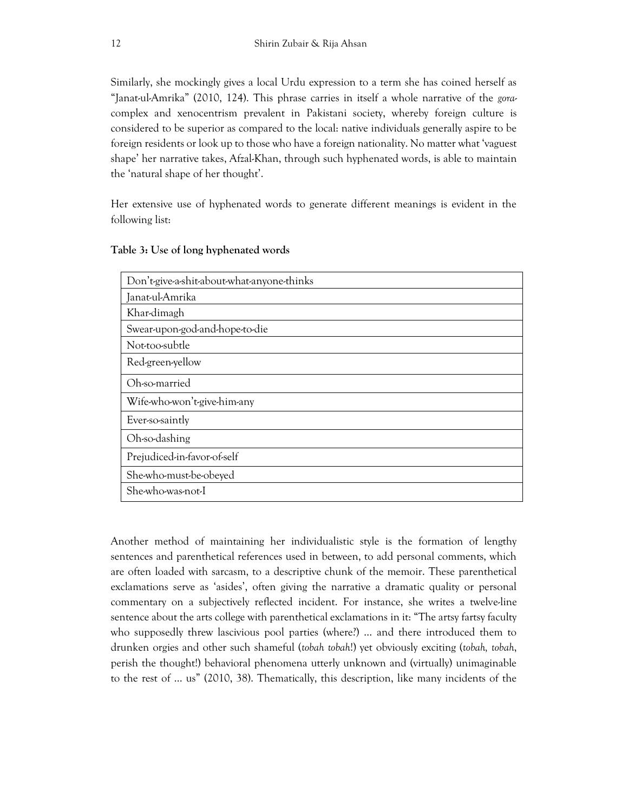Similarly, she mockingly gives a local Urdu expression to a term she has coined herself as "Janat-ul-Amrika" (2010, 124). This phrase carries in itself a whole narrative of the *gora*complex and xenocentrism prevalent in Pakistani society, whereby foreign culture is considered to be superior as compared to the local: native individuals generally aspire to be foreign residents or look up to those who have a foreign nationality. No matter what 'vaguest shape' her narrative takes, Afzal-Khan, through such hyphenated words, is able to maintain the 'natural shape of her thought'.

Her extensive use of hyphenated words to generate different meanings is evident in the following list:

| Don't-give-a-shit-about-what-anyone-thinks |
|--------------------------------------------|
| Janat-ul-Amrika                            |
| Khar-dimagh                                |
| Swear-upon-god-and-hope-to-die             |
| Not-too-subtle                             |
| Red-green-yellow                           |
| Oh-so-married                              |
| Wife-who-won't-give-him-any                |
| Ever-so-saintly                            |
| Oh-so-dashing                              |
| Prejudiced-in-favor-of-self                |
| She-who-must-be-obeyed                     |
| She-who-was-not-I                          |

## **Table 3: Use of long hyphenated words**

Another method of maintaining her individualistic style is the formation of lengthy sentences and parenthetical references used in between, to add personal comments, which are often loaded with sarcasm, to a descriptive chunk of the memoir. These parenthetical exclamations serve as 'asides', often giving the narrative a dramatic quality or personal commentary on a subjectively reflected incident. For instance, she writes a twelve-line sentence about the arts college with parenthetical exclamations in it: "The artsy fartsy faculty who supposedly threw lascivious pool parties (where?) … and there introduced them to drunken orgies and other such shameful (*tobah tobah*!) yet obviously exciting (*tobah, tobah*, perish the thought!) behavioral phenomena utterly unknown and (virtually) unimaginable to the rest of … us" (2010, 38). Thematically, this description, like many incidents of the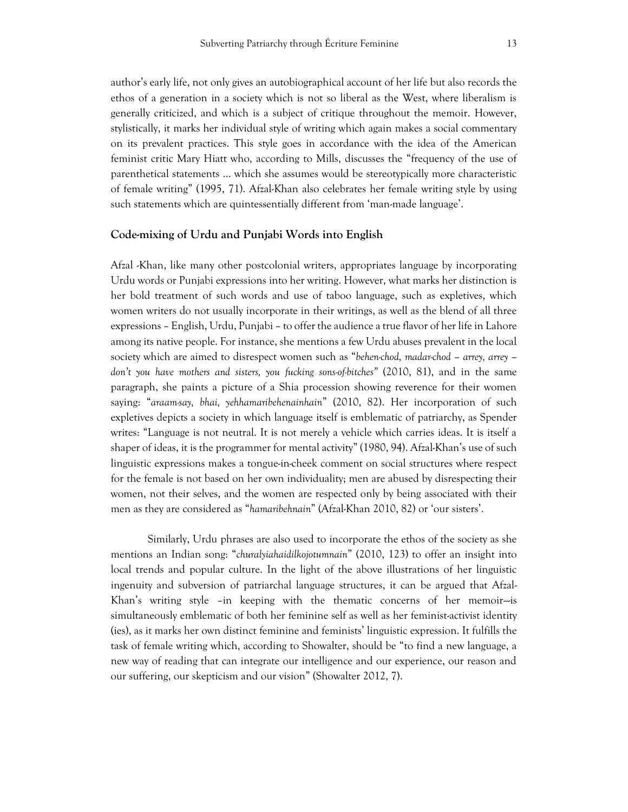author's early life, not only gives an autobiographical account of her life but also records the ethos of a generation in a society which is not so liberal as the West, where liberalism is generally criticized, and which is a subject of critique throughout the memoir. However, stylistically, it marks her individual style of writing which again makes a social commentary on its prevalent practices. This style goes in accordance with the idea of the American feminist critic Mary Hiatt who, according to Mills, discusses the "frequency of the use of parenthetical statements … which she assumes would be stereotypically more characteristic of female writing" (1995, 71). Afzal-Khan also celebrates her female writing style by using such statements which are quintessentially different from 'man-made language'.

## **Code-mixing of Urdu and Punjabi Words into English**

Afzal -Khan, like many other postcolonial writers, appropriates language by incorporating Urdu words or Punjabi expressions into her writing. However, what marks her distinction is her bold treatment of such words and use of taboo language, such as expletives, which women writers do not usually incorporate in their writings, as well as the blend of all three expressions – English, Urdu, Punjabi – to offer the audience a true flavor of her life in Lahore among its native people. For instance, she mentions a few Urdu abuses prevalent in the local society which are aimed to disrespect women such as "*behen-chod, madar-chod – arrey, arrey – don't you have mothers and sisters, you fucking sons-of-bitches"* (2010, 81), and in the same paragraph, she paints a picture of a Shia procession showing reverence for their women saying: "*araam-say, bhai, yehhamaribehenainhain*" (2010, 82). Her incorporation of such expletives depicts a society in which language itself is emblematic of patriarchy, as Spender writes: "Language is not neutral. It is not merely a vehicle which carries ideas. It is itself a shaper of ideas, it is the programmer for mental activity" (1980, 94). Afzal-Khan's use of such linguistic expressions makes a tongue-in-cheek comment on social structures where respect for the female is not based on her own individuality; men are abused by disrespecting their women, not their selves, and the women are respected only by being associated with their men as they are considered as "*hamaribehnain*" (Afzal-Khan 2010, 82) or 'our sisters'.

Similarly, Urdu phrases are also used to incorporate the ethos of the society as she mentions an Indian song: "*churalyiahaidilkojotumnain*" (2010, 123) to offer an insight into local trends and popular culture. In the light of the above illustrations of her linguistic ingenuity and subversion of patriarchal language structures, it can be argued that Afzal-Khan's writing style –in keeping with the thematic concerns of her memoir $\sim$ is simultaneously emblematic of both her feminine self as well as her feminist-activist identity (ies), as it marks her own distinct feminine and feminists' linguistic expression. It fulfills the task of female writing which, according to Showalter, should be "to find a new language, a new way of reading that can integrate our intelligence and our experience, our reason and our suffering, our skepticism and our vision" (Showalter 2012, 7).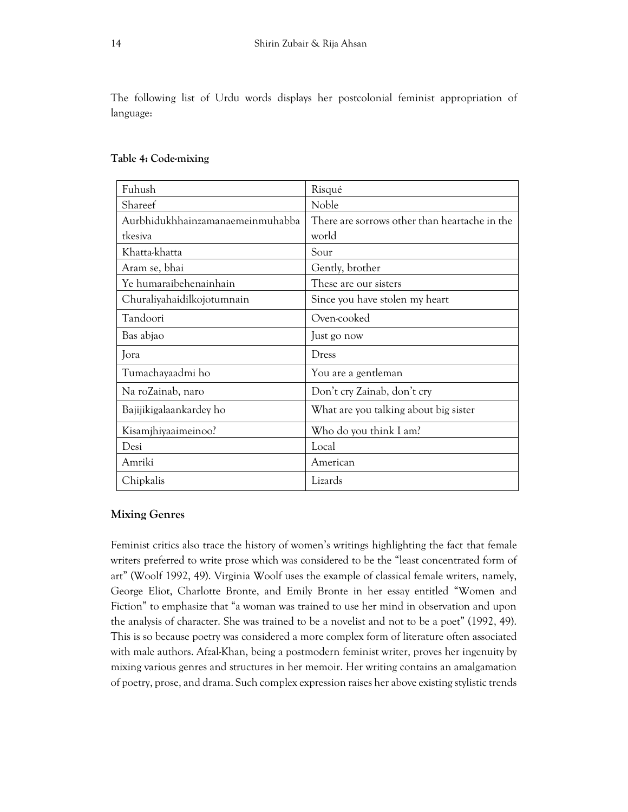The following list of Urdu words displays her postcolonial feminist appropriation of language:

| Fuhush                           | Risqué                                        |
|----------------------------------|-----------------------------------------------|
| Shareef                          | Noble                                         |
| Aurbhidukhhainzamanaemeinmuhabba | There are sorrows other than heartache in the |
| tkesiva                          | world                                         |
| Khatta-khatta                    | Sour                                          |
| Aram se, bhai                    | Gently, brother                               |
| Ye humaraibehenainhain           | These are our sisters                         |
| Churaliyahaidilkojotumnain       | Since you have stolen my heart                |
| Tandoori                         | Oven-cooked                                   |
| Bas abjao                        | Just go now                                   |
| Jora                             | Dress                                         |
| Tumachayaadmi ho                 | You are a gentleman                           |
| Na roZainab, naro                | Don't cry Zainab, don't cry                   |
| Bajijikigalaankardey ho          | What are you talking about big sister         |
| Kisamjhiyaaimeinoo?              | Who do you think I am?                        |
| Desi                             | Local                                         |
| Amriki                           | American                                      |
| Chipkalis                        | Lizards                                       |

## **Table 4: Code-mixing**

## **Mixing Genres**

Feminist critics also trace the history of women's writings highlighting the fact that female writers preferred to write prose which was considered to be the "least concentrated form of art" (Woolf 1992, 49). Virginia Woolf uses the example of classical female writers, namely, George Eliot, Charlotte Bronte, and Emily Bronte in her essay entitled "Women and Fiction" to emphasize that "a woman was trained to use her mind in observation and upon the analysis of character. She was trained to be a novelist and not to be a poet" (1992, 49). This is so because poetry was considered a more complex form of literature often associated with male authors. Afzal-Khan, being a postmodern feminist writer, proves her ingenuity by mixing various genres and structures in her memoir. Her writing contains an amalgamation of poetry, prose, and drama. Such complex expression raises her above existing stylistic trends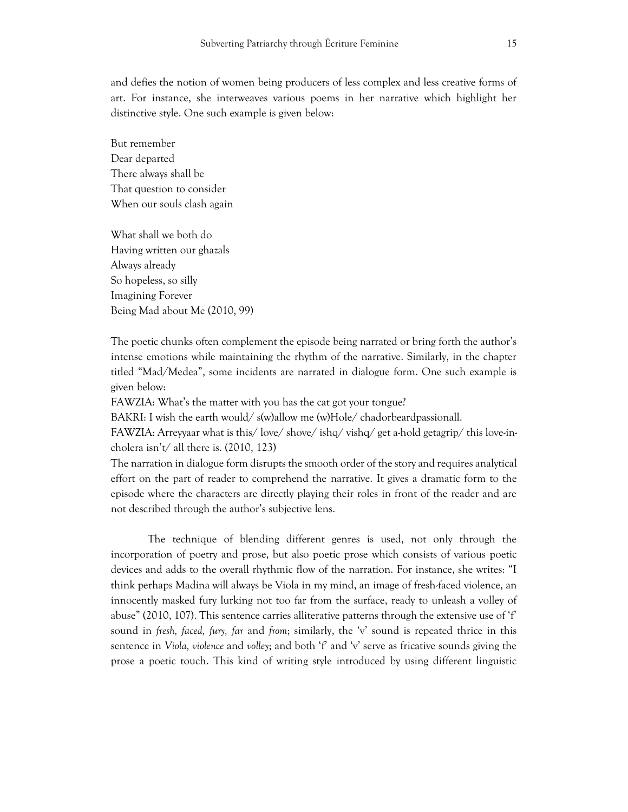and defies the notion of women being producers of less complex and less creative forms of art. For instance, she interweaves various poems in her narrative which highlight her distinctive style. One such example is given below:

But remember Dear departed There always shall be That question to consider When our souls clash again

What shall we both do Having written our ghazals Always already So hopeless, so silly Imagining Forever Being Mad about Me (2010, 99)

The poetic chunks often complement the episode being narrated or bring forth the author's intense emotions while maintaining the rhythm of the narrative. Similarly, in the chapter titled "Mad/Medea", some incidents are narrated in dialogue form. One such example is given below:

FAWZIA: What's the matter with you has the cat got your tongue?

BAKRI: I wish the earth would/ s(w)allow me (w)Hole/ chadorbeardpassionall.

FAWZIA: Arreyyaar what is this/ love/ shove/ ishq/ vishq/ get a-hold getagrip/ this love-incholera isn't/ all there is.  $(2010, 123)$ 

The narration in dialogue form disrupts the smooth order of the story and requires analytical effort on the part of reader to comprehend the narrative. It gives a dramatic form to the episode where the characters are directly playing their roles in front of the reader and are not described through the author's subjective lens.

The technique of blending different genres is used, not only through the incorporation of poetry and prose, but also poetic prose which consists of various poetic devices and adds to the overall rhythmic flow of the narration. For instance, she writes: "I think perhaps Madina will always be Viola in my mind, an image of fresh-faced violence, an innocently masked fury lurking not too far from the surface, ready to unleash a volley of abuse" (2010, 107). This sentence carries alliterative patterns through the extensive use of 'f' sound in *fresh, faced, fury, far* and *from*; similarly, the 'v' sound is repeated thrice in this sentence in *Viola, violence* and *volley*; and both 'f' and 'v' serve as fricative sounds giving the prose a poetic touch. This kind of writing style introduced by using different linguistic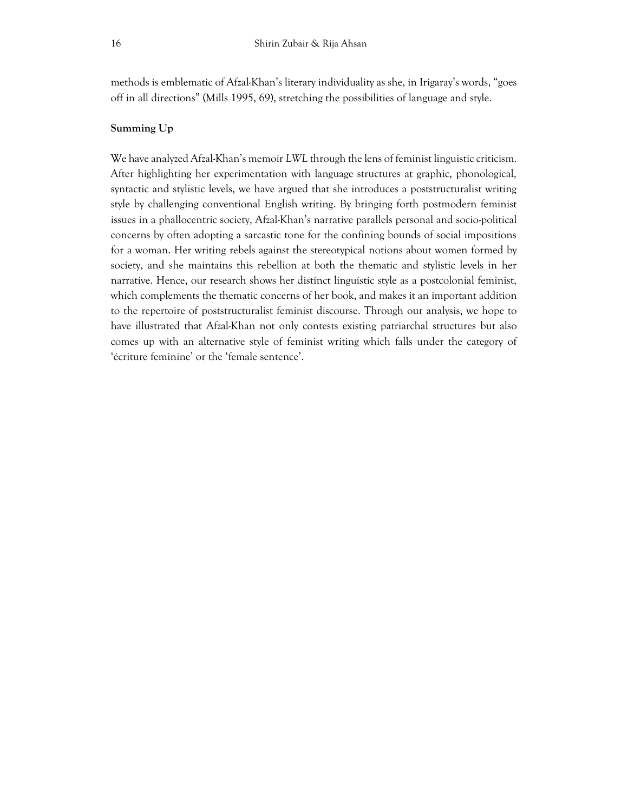methods is emblematic of Afzal-Khan's literary individuality as she, in Irigaray's words, "goes off in all directions" (Mills 1995, 69), stretching the possibilities of language and style.

## **Summing Up**

We have analyzed Afzal-Khan's memoir *LWL* through the lens of feminist linguistic criticism. After highlighting her experimentation with language structures at graphic, phonological, syntactic and stylistic levels, we have argued that she introduces a poststructuralist writing style by challenging conventional English writing. By bringing forth postmodern feminist issues in a phallocentric society, Afzal-Khan's narrative parallels personal and socio-political concerns by often adopting a sarcastic tone for the confining bounds of social impositions for a woman. Her writing rebels against the stereotypical notions about women formed by society, and she maintains this rebellion at both the thematic and stylistic levels in her narrative. Hence, our research shows her distinct linguistic style as a postcolonial feminist, which complements the thematic concerns of her book, and makes it an important addition to the repertoire of poststructuralist feminist discourse. Through our analysis, we hope to have illustrated that Afzal-Khan not only contests existing patriarchal structures but also comes up with an alternative style of feminist writing which falls under the category of 'écriture feminine' or the 'female sentence'.